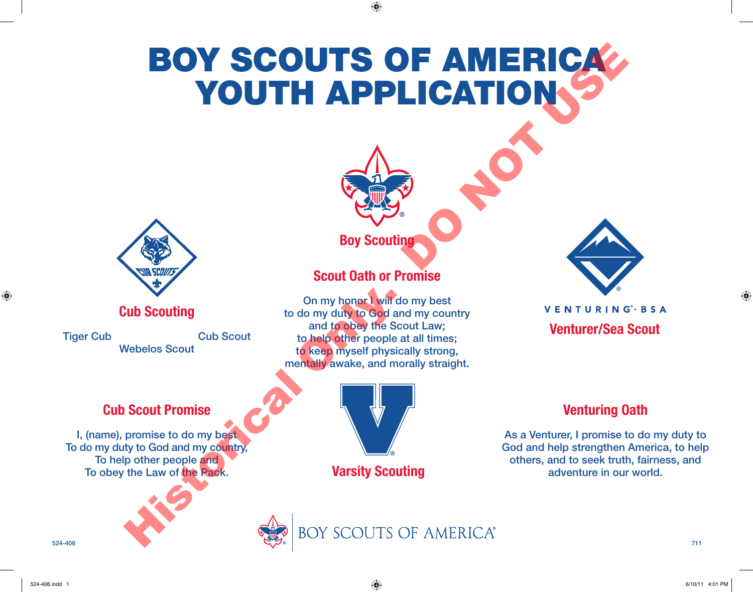# BOY SCOUTS OF AMERICAZ YOUTH APPLICATION How SCOUTS OF AMERICAN<br>
YOUTH APPLICATION

⊕



# **Cub Scouting**

Tiger Cub Cub Scout Webelos Scout



# **Scout Oath or Promise**

On my honor I will do my best to do my duty to God and my country and to obey the Scout Law; to help other people at all times; to keep myself physically strong, mentally awake, and morally straight.



**Venturer/Sea Scout**

# **Cub Scout Promise**

I, (name), promise to do my best To do my duty to God and my country, To help other people and To obey the Law of the Pack.



**Varsity Scouting**

# **Venturing Oath**

As a Venturer, I promise to do my duty to God and help strengthen America, to help others, and to seek truth, fairness, and adventure in our world.

 $524-406$  711

⊕

⊕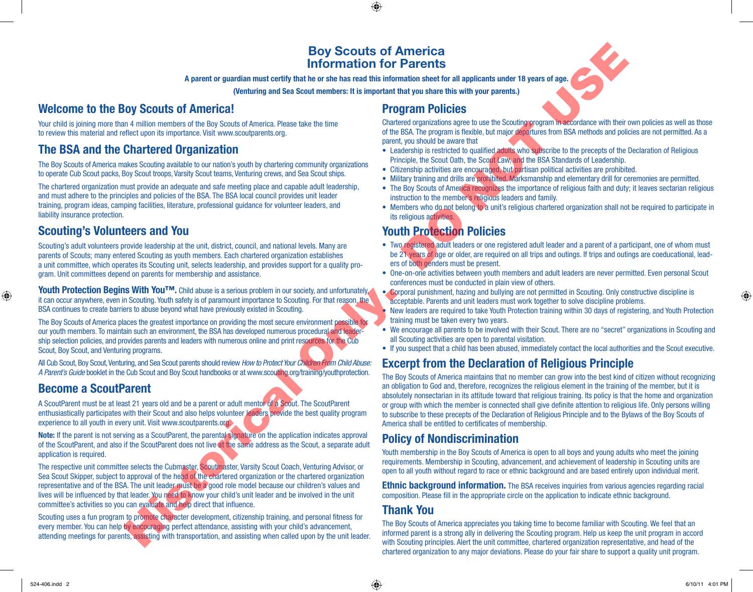#### **Boy Scouts of America Information for Parents**

⊕

**A parent or guardian must certify that he or she has read this information sheet for all applicants under 18 years of age.**

**(Venturing and Sea Scout members: It is important that you share this with your parents.)**

### **Welcome to the Boy Scouts of America!**

Your child is joining more than 4 million members of the Boy Scouts of America. Please take the time to review this material and reflect upon its importance. Visit www.scoutparents.org.

## **The BSA and the Chartered Organization**

The Boy Scouts of America makes Scouting available to our nation's youth by chartering community organizations to operate Cub Scout packs, Boy Scout troops, Varsity Scout teams, Venturing crews, and Sea Scout ships.

The chartered organization must provide an adequate and safe meeting place and capable adult leadership, and must adhere to the principles and policies of the BSA. The BSA local council provides unit leader training, program ideas, camping facilities, literature, professional guidance for volunteer leaders, and liability insurance protection.

#### **Scouting's Volunteers and You**

Scouting's adult volunteers provide leadership at the unit, district, council, and national levels. Many are parents of Scouts; many entered Scouting as youth members. Each chartered organization establishes a unit committee, which operates its Scouting unit, selects leadership, and provides support for a quality program. Unit committees depend on parents for membership and assistance.

**Youth Protection Begins With You™.** Child abuse is a serious problem in our society, and unfortunately, it can occur anywhere, even in Scouting. Youth safety is of paramount importance to Scouting. For that reason, the BSA continues to create barriers to abuse beyond what have previously existed in Scouting.

The Boy Scouts of America places the greatest importance on providing the most secure environment possible for our youth members. To maintain such an environment, the BSA has developed numerous procedural and leadership selection policies, and provides parents and leaders with numerous online and print resources for the Cub Scout, Boy Scout, and Venturing programs.

All Cub Scout, Boy Scout, Venturing, and Sea Scout parents should review *How to Protect Your Children From Child Abuse: A Parent's Guide* booklet in the Cub Scout and Boy Scout handbooks or at www.scouting.org/training/youthprotection.

#### **Become a ScoutParent**

A ScoutParent must be at least 21 years old and be a parent or adult mentor of a Scout. The ScoutParent enthusiastically participates with their Scout and also helps volunteer leaders provide the best quality program experience to all youth in every unit. Visit www.scoutparents.org.

**Note:** If the parent is not serving as a ScoutParent, the parental signature on the application indicates approval of the ScoutParent, and also if the ScoutParent does not live at the same address as the Scout, a separate adult application is required.

The respective unit committee selects the Cubmaster, Scoutmaster, Varsity Scout Coach, Venturing Advisor, or Sea Scout Skipper, subject to approval of the head of the chartered organization or the chartered organization representative and of the BSA. The unit leader must be a good role model because our children's values and lives will be influenced by that leader. You need to know your child's unit leader and be involved in the unit committee's activities so you can evaluate and help direct that influence.

Scouting uses a fun program to promote character development, citizenship training, and personal fitness for every member. You can help by encouraging perfect attendance, assisting with your child's advancement, attending meetings for parents, assisting with transportation, and assisting when called upon by the unit leader.

## **Program Policies**

Chartered organizations agree to use the Scouting program in accordance with their own policies as well as those of the BSA. The program is flexible, but major departures from BSA methods and policies are not permitted. As a parent, you should be aware that

- Leadership is restricted to qualified adults who subscribe to the precepts of the Declaration of Religious Principle, the Scout Oath, the Scout Law, and the BSA Standards of Leadership.
- Citizenship activities are encouraged, but partisan political activities are prohibited.
- Military training and drills are prohibited. Marksmanship and elementary drill for ceremonies are permitted.
- The Boy Scouts of America recognizes the importance of religious faith and duty; it leaves sectarian religious instruction to the member's religious leaders and family.
- Members who do not belong to a unit's religious chartered organization shall not be required to participate in its religious activities.

## **Youth Protection Policies**

- Two registered adult leaders or one registered adult leader and a parent of a participant, one of whom must be 21 years of age or older, are required on all trips and outings. If trips and outings are coeducational, leaders of both genders must be present.
- One-on-one activities between youth members and adult leaders are never permitted. Even personal Scout conferences must be conducted in plain view of others.
- Corporal punishment, hazing and bullying are not permitted in Scouting. Only constructive discipline is acceptable. Parents and unit leaders must work together to solve discipline problems.

New leaders are required to take Youth Protection training within 30 days of registering, and Youth Protection training must be taken every two years.

- • We encourage all parents to be involved with their Scout. There are no "secret" organizations in Scouting and all Scouting activities are open to parental visitation.
- • If you suspect that a child has been abused, immediately contact the local authorities and the Scout executive.

### **Excerpt from the Declaration of Religious Principle**

The Boy Scouts of America maintains that no member can grow into the best kind of citizen without recognizing an obligation to God and, therefore, recognizes the religious element in the training of the member, but it is absolutely nonsectarian in its attitude toward that religious training. Its policy is that the home and organization or group with which the member is connected shall give definite attention to religious life. Only persons willing to subscribe to these precepts of the Declaration of Religious Principle and to the Bylaws of the Boy Scouts of America shall be entitled to certificates of membership. A pure distributed by Routing of Books of Americal Christopher is the two states for example, the same of the same of the same of the same of the same of the same of the same of the same of the same of the same of the sam

### **Policy of Nondiscrimination**

Youth membership in the Boy Scouts of America is open to all boys and young adults who meet the joining requirements. Membership in Scouting, advancement, and achievement of leadership in Scouting units are open to all youth without regard to race or ethnic background and are based entirely upon individual merit.

**Ethnic background information.** The BSA receives inquiries from various agencies regarding racial composition. Please fill in the appropriate circle on the application to indicate ethnic background.

### **Thank You**

The Boy Scouts of America appreciates you taking time to become familiar with Scouting. We feel that an informed parent is a strong ally in delivering the Scouting program. Help us keep the unit program in accord with Scouting principles. Alert the unit committee, chartered organization representative, and head of the chartered organization to any major deviations. Please do your fair share to support a quality unit program.

⊕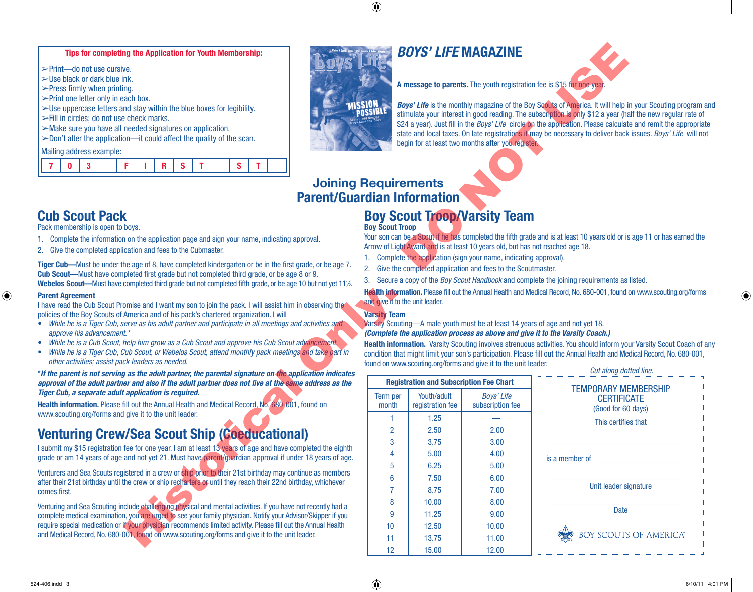⊕

#### **Tips for completing the Application for Youth Membership:**

Print—do not use cursive.

- $\geq$ Use black or dark blue ink.
- $\triangleright$ Press firmly when printing.
- $\blacktriangleright$ Print one letter only in each box.
- $>$ Use uppercase letters and stay within the blue boxes for legibility.
- $\blacktriangleright$  Fill in circles; do not use check marks.
- $\triangleright$ Make sure you have all needed signatures on application.
- $\geq$ Don't alter the application—it could affect the quality of the scan.

Mailing address example:



## *BOYS' LIFE* **MAGAZINE**



**Boys' Life** is the monthly magazine of the Boy Scouts of America. It will help in your Scouting program and stimulate your interest in good reading. The subscription is only \$12 a year (half the new regular rate of \$24 a year). Just fill in the *Boys' Life* circle on the application. Please calculate and remit the appropriate state and local taxes. On late registrations it may be necessary to deliver back issues. *Boys' Life* will not begin for at least two months after you register.

# **Joining Requirements Parent/Guardian Information**

#### **Cub Scout Pack**

Pack membership is open to boys.

- 1. Complete the information on the application page and sign your name, indicating approval.
- 2. Give the completed application and fees to the Cubmaster.

**Tiger Cub—**Must be under the age of 8, have completed kindergarten or be in the first grade, or be age 7. **Cub Scout—Must have completed first grade but not completed third grade, or be age 8 or 9.** Webelos Scout—Must have completed third grade but not completed fifth grade, or be age 10 but not yet 11<sup>1</sup>/<sub>2</sub>.

#### **Parent Agreement**

⊕

I have read the Cub Scout Promise and I want my son to join the pack. I will assist him in observing the policies of the Boy Scouts of America and of his pack's chartered organization. I will

- • *While he is a Tiger Cub, serve as his adult partner and participate in all meetings and activities and approve his advancement.\**
- • *While he is a Cub Scout, help him grow as a Cub Scout and approve his Cub Scout advancement.*
- *While he is a Tiger Cub, Cub Scout, or Webelos Scout, attend monthly pack meetings and take part in other activities; assist pack leaders as needed.*

\**If the parent is not serving as the adult partner, the parental signature on the application indicates approval of the adult partner and also if the adult partner does not live at the same address as the Tiger Cub, a separate adult application is required.*

Health information. Please fill out the Annual Health and Medical Record, No. 680-001, found on www.scouting.org/forms and give it to the unit leader.

# **Venturing Crew/Sea Scout Ship (Coeducational)**

I submit my \$15 registration fee for one year. I am at least 13 years of age and have completed the eighth grade or am 14 years of age and not yet 21. Must have parent/guardian approval if under 18 years of age*.*

Venturers and Sea Scouts registered in a crew or ship prior to their 21st birthday may continue as members after their 21st birthday until the crew or ship recharters or until they reach their 22nd birthday, whichever comes first.

Venturing and Sea Scouting include challenging physical and mental activities. If you have not recently had a complete medical examination, you are urged to see your family physician. Notify your Advisor/Skipper if you require special medication or if your physician recommends limited activity. Please fill out the Annual Health and Medical Record, No. 680-001, found on www.scouting.org/forms and give it to the unit leader.

# **Boy Scout Troop/Varsity Team**

#### **Boy Scout Troop**

Your son can be a Scout if he has completed the fifth grade and is at least 10 years old or is age 11 or has earned the Arrow of Light Award and is at least 10 years old, but has not reached age 18.

- 1. Complete the application (sign your name, indicating approval).
- 2. Give the completed application and fees to the Scoutmaster.
- 3. Secure a copy of the *Boy Scout Handbook* and complete the joining requirements as listed.

**Health information.** Please fill out the Annual Health and Medical Record, No. 680-001, found on www.scouting.org/forms and give it to the unit leader.

#### **Varsity Team**

**Health information.** Varsity Scouting involves strenuous activities. You should inform your Varsity Scout Coach of any condition that might limit your son's participation. Please fill out the Annual Health and Medical Record, No. 680-001, found on www.scouting.org/forms and give it to the unit leader. *Cut along dotted line.*

| ng the Application for Youth Membership:<br>ve.                                                                                                                                                                                                                                                                                                                               |                                    |                                                | <b>BOYS' LIFE MAGAZINE</b>                                                                                                                                                                  |                                                                                                                                                                                                                                                                                                                                                                                                                             |
|-------------------------------------------------------------------------------------------------------------------------------------------------------------------------------------------------------------------------------------------------------------------------------------------------------------------------------------------------------------------------------|------------------------------------|------------------------------------------------|---------------------------------------------------------------------------------------------------------------------------------------------------------------------------------------------|-----------------------------------------------------------------------------------------------------------------------------------------------------------------------------------------------------------------------------------------------------------------------------------------------------------------------------------------------------------------------------------------------------------------------------|
| nk.<br>ng.                                                                                                                                                                                                                                                                                                                                                                    |                                    |                                                |                                                                                                                                                                                             | A message to parents. The youth registration fee is \$15 for one year                                                                                                                                                                                                                                                                                                                                                       |
| ach box.<br>nd stay within the blue boxes for legibility.<br>e check marks.<br>needed signatures on application.<br>on-it could affect the quality of the scan.                                                                                                                                                                                                               |                                    |                                                | begin for at least two months after you register.                                                                                                                                           | Boys' Life is the monthly magazine of the Boy Scouts of America. It will help in your Scouting pro<br>stimulate your interest in good reading. The subscription is only \$12 a year (half the new regular<br>\$24 a year). Just fill in the Boys' Life circle on the application. Please calculate and remit the app<br>state and local taxes. On late registrations it may be necessary to deliver back issues. Boys' Life |
| R<br>s<br>s                                                                                                                                                                                                                                                                                                                                                                   |                                    |                                                |                                                                                                                                                                                             |                                                                                                                                                                                                                                                                                                                                                                                                                             |
|                                                                                                                                                                                                                                                                                                                                                                               | <b>Joining Requirements</b>        |                                                |                                                                                                                                                                                             |                                                                                                                                                                                                                                                                                                                                                                                                                             |
|                                                                                                                                                                                                                                                                                                                                                                               | <b>Parent/Guardian Information</b> |                                                |                                                                                                                                                                                             |                                                                                                                                                                                                                                                                                                                                                                                                                             |
| boys.<br>n on the application page and sign your name, indicating approval.<br>ication and fees to the Cubmaster.                                                                                                                                                                                                                                                             | <b>Boy Scout Troop</b>             |                                                | <b>Boy Scout Troop/Varsity Team</b><br>Arrow of Light Award and is at least 10 years old, but has not reached age 18.<br>1. Complete the application (sign your name, indicating approval). | Your son can be a Scout if he has completed the fifth grade and is at least 10 years old or is age 11 or has earr                                                                                                                                                                                                                                                                                                           |
| he age of 8, have completed kindergarten or be in the first grade, or be age 7.<br>pleted first grade but not completed third grade, or be age 8 or 9.<br>completed third grade but not completed fifth grade, or be age 10 but not yet 11½.                                                                                                                                  |                                    |                                                | 2. Give the completed application and fees to the Scoutmaster.                                                                                                                              | Secure a copy of the <i>Boy Scout Handbook</i> and complete the joining requirements as listed.<br>Health information. Please fill out the Annual Health and Medical Record, No. 680-001, found on www.scouting.or                                                                                                                                                                                                          |
| omise and I want my son to join the pack. I will assist him in observing the<br>America and of his pack's chartered organization. I will<br>erve as his adult partner and participate in all meetings and activities and<br>help him grow as a Cub Scout and approve his Cub Scout advancement.<br>Cub Scout, or Webelos Scout, attend monthly pack meetings and take part in | <b>Varsity Team</b>                | and give it to the unit leader.                |                                                                                                                                                                                             | Varsity Scouting-A male youth must be at least 14 years of age and not yet 18.<br>(Complete the application process as above and give it to the Varsity Coach.)<br>Health information. Varsity Scouting involves strenuous activities. You should inform your Varsity Scout Coa<br>condition that might limit your son's participation. Please fill out the Annual Health and Medical Record, No. 68                        |
| ck leaders as needed.                                                                                                                                                                                                                                                                                                                                                         |                                    |                                                | found on www.scouting.org/forms and give it to the unit leader.                                                                                                                             | Cut along dotted line.                                                                                                                                                                                                                                                                                                                                                                                                      |
| g as the adult partner, the parental signature on the application indicates<br>er and also if the adult partner does not live at the same address as the<br>application is required.                                                                                                                                                                                          |                                    | <b>Registration and Subscription Fee Chart</b> |                                                                                                                                                                                             | <b>TEMPORARY MEMBERSHIP</b>                                                                                                                                                                                                                                                                                                                                                                                                 |
| fill out the Annual Health and Medical Record, No. 680-001, found on<br>I give it to the unit leader.                                                                                                                                                                                                                                                                         | Term per<br>month                  | Youth/adult<br>registration fee                | <b>Boys' Life</b><br>subscription fee                                                                                                                                                       | <b>CERTIFICATE</b><br>(Good for 60 days)                                                                                                                                                                                                                                                                                                                                                                                    |
|                                                                                                                                                                                                                                                                                                                                                                               | 1                                  | 1.25<br>2.50                                   | 2.00                                                                                                                                                                                        | This certifies that                                                                                                                                                                                                                                                                                                                                                                                                         |
| /Sea Scout Ship (Coeducational)                                                                                                                                                                                                                                                                                                                                               | 2                                  | 3.75                                           | 3.00                                                                                                                                                                                        |                                                                                                                                                                                                                                                                                                                                                                                                                             |
| fee for one year. I am at least 13 years of age and have completed the eighth                                                                                                                                                                                                                                                                                                 | 4                                  | 5.00                                           | 4.00                                                                                                                                                                                        |                                                                                                                                                                                                                                                                                                                                                                                                                             |
| and not yet 21. Must have parent/quardian approval if under 18 years of age.                                                                                                                                                                                                                                                                                                  | 5                                  | 6.25                                           | 5.00                                                                                                                                                                                        | is a member of                                                                                                                                                                                                                                                                                                                                                                                                              |
| istered in a crew or ship prior to their 21st birthday may continue as members<br>the crew or ship recharters or until they reach their 22nd birthday, whichever                                                                                                                                                                                                              | 6                                  | 7.50                                           | 6.00                                                                                                                                                                                        |                                                                                                                                                                                                                                                                                                                                                                                                                             |
|                                                                                                                                                                                                                                                                                                                                                                               | 7                                  | 8.75                                           | 7.00                                                                                                                                                                                        | Unit leader signature                                                                                                                                                                                                                                                                                                                                                                                                       |
| clude challenging physical and mental activities. If you have not recently had a                                                                                                                                                                                                                                                                                              | 8                                  | 10.00                                          | 8.00                                                                                                                                                                                        |                                                                                                                                                                                                                                                                                                                                                                                                                             |
| n, you are urged to see your family physician. Notify your Advisor/Skipper if you                                                                                                                                                                                                                                                                                             | 9                                  | 11.25                                          | 9.00                                                                                                                                                                                        | <b>Date</b>                                                                                                                                                                                                                                                                                                                                                                                                                 |
| if your physician recommends limited activity. Please fill out the Annual Health                                                                                                                                                                                                                                                                                              | 10                                 | 12.50                                          | 10.00                                                                                                                                                                                       |                                                                                                                                                                                                                                                                                                                                                                                                                             |
| 001, found on www.scouting.org/forms and give it to the unit leader.                                                                                                                                                                                                                                                                                                          | 11                                 | 13.75                                          | 11.00                                                                                                                                                                                       | BOY SCOUTS OF AMERICA®                                                                                                                                                                                                                                                                                                                                                                                                      |
|                                                                                                                                                                                                                                                                                                                                                                               | 12                                 | 15.00                                          | 12.00                                                                                                                                                                                       |                                                                                                                                                                                                                                                                                                                                                                                                                             |

524-406.indd 3 6/10/11 4:01 PM 6/10/11 6:01 PM 6/10/11 6:01 PM 6/10/11 6:01 PM 6/10/11 6:01 PM 6/10/11 6:01 PM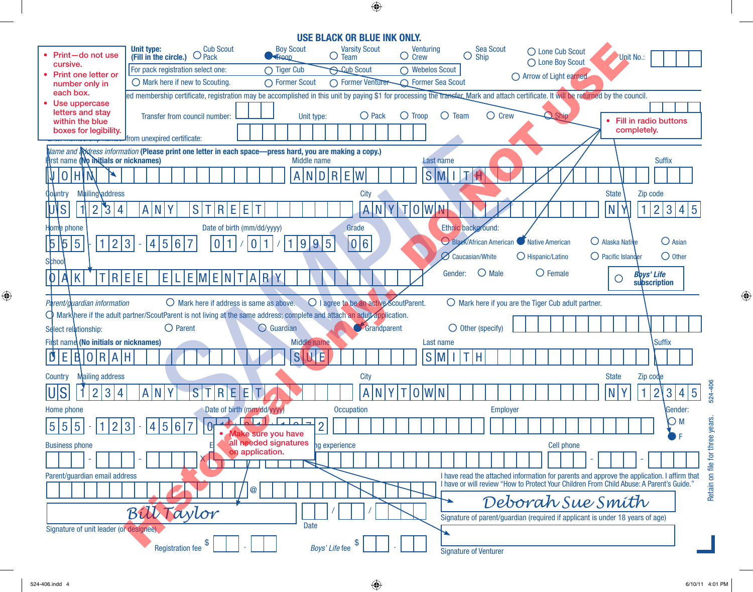$\bigoplus$ 

|                                                 |                                                                                                                                                                                     |                                             | <b>USE BLACK OR BLUE INK ONLY.</b>     |                                     |                              |                                                              |                                                                                                                                                                                         |                                  |
|-------------------------------------------------|-------------------------------------------------------------------------------------------------------------------------------------------------------------------------------------|---------------------------------------------|----------------------------------------|-------------------------------------|------------------------------|--------------------------------------------------------------|-----------------------------------------------------------------------------------------------------------------------------------------------------------------------------------------|----------------------------------|
| Print-do not use<br>cursive.                    | <b>Cub Scout</b><br><b>Unit type:</b><br>$O$ Pack<br>(Fill in the circle.)                                                                                                          | <b>Boy Scout</b><br><b>Ki</b> rgan          | <b>Varsity Scout</b><br>O<br>Team      | Venturing<br>$\bigcirc$ Crew        | Sea Scout<br>$\bigcirc$ Ship | ◯ Lone Cub Scout<br>◯ Lone Boy Scout                         | Unit No.:                                                                                                                                                                               |                                  |
| <b>Print one letter or</b>                      | For pack registration select one:                                                                                                                                                   | $\bigcap$ Tiger Cub                         | <b>A Cub Scout</b>                     | ◯ Webelos Scout                     |                              | ◯ Arrow of Light earned                                      |                                                                                                                                                                                         |                                  |
| number only in                                  | $\bigcap$ Mark here if new to Scouting.                                                                                                                                             | ◯ Former Scout                              | ◯ Former Venturer                      | <b>Q</b> Former Sea Scout           |                              |                                                              |                                                                                                                                                                                         |                                  |
| each box.                                       | ed membership certificate, registration may be accomplished in this unit by paying \$1 for processing the transfer Mark and attach certificate. It will be returned by the council. |                                             |                                        |                                     |                              |                                                              |                                                                                                                                                                                         |                                  |
| Use uppercase<br>letters and stay               |                                                                                                                                                                                     |                                             | $\bigcirc$ Pack                        | $\bigcirc$ Troop<br>$\bigcirc$ Team | $\bigcirc$ Crew              | <b>Q</b> Ship                                                |                                                                                                                                                                                         |                                  |
| within the blue                                 | Transfer from council number:                                                                                                                                                       | Unit type:                                  |                                        |                                     |                              |                                                              | • Fill in radio buttons                                                                                                                                                                 |                                  |
| boxes for legibility.                           | from unexpired certificate:                                                                                                                                                         |                                             |                                        |                                     |                              |                                                              | completely.                                                                                                                                                                             |                                  |
| first name (No initials or nicknames)           | Name and Ndress information (Please print one letter in each space—press hard, you are making a copy.)                                                                              | Middle name                                 |                                        | <b>Last name</b>                    |                              |                                                              | <b>Suffix</b>                                                                                                                                                                           |                                  |
| İΗ<br>$\boldsymbol{0}$<br>١W<br>N               |                                                                                                                                                                                     | $N$ D<br>A                                  | R E W                                  | S/M                                 | €                            |                                                              |                                                                                                                                                                                         |                                  |
| Mailing address<br><b>Country</b>               |                                                                                                                                                                                     |                                             | City                                   |                                     |                              |                                                              | <b>State</b><br>Zip code                                                                                                                                                                |                                  |
| S<br>$\overline{2}$<br>$\mathcal{S}$<br>IJ<br>4 | S<br>E<br>Е<br>l N<br> R <br>Τ<br>A                                                                                                                                                 |                                             | A                                      | 0 <br>lW                            |                              |                                                              | N<br> 3 <br>$\overline{2}$                                                                                                                                                              | 15<br>$\overline{4}$             |
| Home phone                                      | Date of birth (mm/dd/yyyy)                                                                                                                                                          |                                             | Grade                                  | Ethnic background:                  |                              |                                                              |                                                                                                                                                                                         |                                  |
| 5 5<br>$\overline{5}$<br>$\overline{2}$         | $\overline{5}$<br>$6\phantom{1}6$<br>$\overline{7}$<br>3<br>$\mathbf 0$<br>4                                                                                                        | 9<br>9                                      | 0 6 <br>5                              |                                     | Black/African American       | Native American                                              | $\bigcirc$ Asian<br>$\bigcirc$ Alaska Native                                                                                                                                            |                                  |
|                                                 |                                                                                                                                                                                     |                                             |                                        | Caucasian/White                     |                              | O Hispanic/Latino                                            | $\bigcirc$ Other<br>$\bigcirc$ Pacific Islander                                                                                                                                         |                                  |
| School                                          |                                                                                                                                                                                     |                                             |                                        | Gender:                             | $\bigcirc$ Male              | $\bigcirc$ Female                                            |                                                                                                                                                                                         |                                  |
| R <br>K<br>A                                    | Ε<br>ΙE<br>$ E $ M $ E N T A R Y$<br>E                                                                                                                                              |                                             |                                        |                                     |                              |                                                              | <b>Boys' Life</b><br>$\bigcirc$<br>subscription                                                                                                                                         |                                  |
|                                                 |                                                                                                                                                                                     |                                             |                                        |                                     |                              |                                                              |                                                                                                                                                                                         |                                  |
| Parent/guardian information                     | $\bigcirc$ Mark here if address is same as above.                                                                                                                                   |                                             | O I agree to be an active ScoutParent. |                                     |                              | $\bigcirc$ Mark here if you are the Tiger Cub adult partner. |                                                                                                                                                                                         |                                  |
|                                                 | O Mark here if the adult partner/ScoutParent is not living at the same address; complete and attach an adult application.                                                           |                                             |                                        |                                     |                              |                                                              |                                                                                                                                                                                         |                                  |
| Select relationship:                            | $\bigcirc$ Parent                                                                                                                                                                   | <b>O</b> Guardian                           | Grandparent                            |                                     | $\bigcirc$ Other (specify)   |                                                              |                                                                                                                                                                                         |                                  |
| First name (No initials or nicknames)           |                                                                                                                                                                                     | <b>Middle name</b>                          |                                        | Last name                           |                              |                                                              | Suffix                                                                                                                                                                                  |                                  |
| E<br> 0 R A H<br>B<br>D                         |                                                                                                                                                                                     | S(<br>$\mathsf{U}$                          | Ê                                      | S<br>Τ<br>M                         | Н                            |                                                              |                                                                                                                                                                                         |                                  |
| <b>Mailing address</b><br>Country               |                                                                                                                                                                                     |                                             | <b>City</b>                            |                                     |                              |                                                              | <b>State</b><br>Zip code                                                                                                                                                                |                                  |
| lS<br>U<br>$\overline{2}$<br>$ 3\rangle$<br>4   | S<br>E<br>R<br>E<br>A                                                                                                                                                               |                                             | $\mathsf{A}$                           | $\bf{0}$<br>١N                      |                              |                                                              | N<br>3 <br>$\overline{2}$                                                                                                                                                               | $\overline{5}$<br>$\overline{4}$ |
| Home phone                                      | Date of birth (mm/dd/yyyy)                                                                                                                                                          |                                             | <b>Occupation</b>                      |                                     | Employer                     |                                                              | Gender:                                                                                                                                                                                 |                                  |
| 5 5 5<br>2                                      | 5<br>$6\phantom{1}6$<br>3<br>4                                                                                                                                                      | $\sim$ $\sim$                               | $\overline{2}$                         |                                     |                              |                                                              | ЭM                                                                                                                                                                                      |                                  |
|                                                 |                                                                                                                                                                                     | Make sure you have<br>all needed signatures |                                        |                                     |                              |                                                              |                                                                                                                                                                                         |                                  |
| <b>Business phone</b>                           |                                                                                                                                                                                     | on application.                             | ng experience                          |                                     |                              | Cell phone                                                   |                                                                                                                                                                                         | ears<br>three<br><b>jg</b>       |
|                                                 |                                                                                                                                                                                     |                                             |                                        |                                     |                              |                                                              |                                                                                                                                                                                         |                                  |
| Parent/guardian email address                   |                                                                                                                                                                                     | $\circleda$                                 |                                        |                                     |                              |                                                              | I have read the attached information for parents and approve the application. I affirm that<br>I have or will review "How to Protect Your Children From Child Abuse: A Parent's Guide." |                                  |
|                                                 |                                                                                                                                                                                     |                                             |                                        |                                     |                              | Deborah Sue Smíth                                            |                                                                                                                                                                                         | file<br>$\overline{5}$<br>Retain |
| Signature of unit leader (or designee).         | <b>Bill Taylor</b>                                                                                                                                                                  | <b>Date</b>                                 |                                        |                                     |                              |                                                              | Signature of parent/guardian (required if applicant is under 18 years of age)                                                                                                           |                                  |

 $\bigoplus$ 

 $\bigoplus$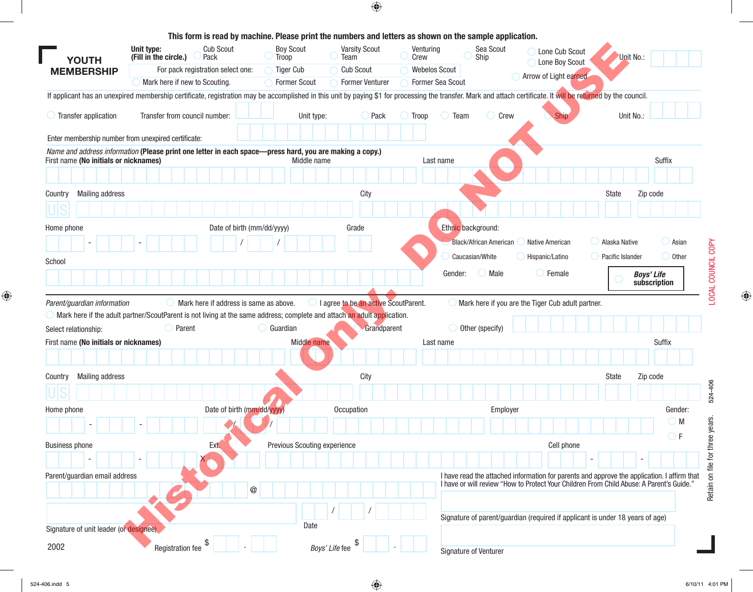$\bigoplus$ 

| YOUTH                                                                                                                                                                                                                             | <b>Cub Scout</b><br>Unit type:<br>(Fill in the circle.)<br>Pack                                                                                                                                                 | <b>Boy Scout</b><br>$\cup$ Troop | <b>Varsity Scout</b><br>Team         | Venturing<br>Crew    | Sea Scout<br>Ship             | Lone Cub Scout<br>Lone Boy Scout                                                                                                                                                     | Unit No.:                |                                   |
|-----------------------------------------------------------------------------------------------------------------------------------------------------------------------------------------------------------------------------------|-----------------------------------------------------------------------------------------------------------------------------------------------------------------------------------------------------------------|----------------------------------|--------------------------------------|----------------------|-------------------------------|--------------------------------------------------------------------------------------------------------------------------------------------------------------------------------------|--------------------------|-----------------------------------|
| <b>MEMBERSHIP</b>                                                                                                                                                                                                                 | For pack registration select one:                                                                                                                                                                               | <b>Tiger Cub</b>                 | Cub Scout                            | <b>Webelos Scout</b> |                               | Arrow of Light earned                                                                                                                                                                |                          |                                   |
|                                                                                                                                                                                                                                   | Mark here if new to Scouting.                                                                                                                                                                                   | <b>Former Scout</b>              | <b>Former Venturer</b>               | Former Sea Scout     |                               |                                                                                                                                                                                      |                          |                                   |
|                                                                                                                                                                                                                                   | If applicant has an unexpired membership certificate, registration may be accomplished in this unit by paying \$1 for processing the transfer. Mark and attach certificate. It will be returned by the council. |                                  |                                      |                      |                               |                                                                                                                                                                                      |                          |                                   |
| $\bigcirc$ Transfer application                                                                                                                                                                                                   | Transfer from council number:                                                                                                                                                                                   | Unit type:                       | $\bigcirc$ Pack                      | Team<br>Troop        | Crew                          | Ship                                                                                                                                                                                 | Unit No.                 |                                   |
|                                                                                                                                                                                                                                   | Enter membership number from unexpired certificate:                                                                                                                                                             |                                  |                                      |                      |                               |                                                                                                                                                                                      |                          |                                   |
| First name (No initials or nicknames)                                                                                                                                                                                             | Name and address information (Please print one letter in each space-press hard, you are making a copy.)                                                                                                         | Middle name                      |                                      | Last name            |                               |                                                                                                                                                                                      |                          | Suffix                            |
|                                                                                                                                                                                                                                   |                                                                                                                                                                                                                 |                                  |                                      |                      |                               |                                                                                                                                                                                      |                          |                                   |
| Mailing address<br>Country                                                                                                                                                                                                        |                                                                                                                                                                                                                 |                                  | City                                 |                      |                               |                                                                                                                                                                                      | State                    | Zip code                          |
|                                                                                                                                                                                                                                   |                                                                                                                                                                                                                 |                                  |                                      |                      |                               |                                                                                                                                                                                      |                          |                                   |
| Home phone                                                                                                                                                                                                                        |                                                                                                                                                                                                                 | Date of birth (mm/dd/yyyy)       | Grade                                |                      | Ethnic background:            |                                                                                                                                                                                      |                          |                                   |
|                                                                                                                                                                                                                                   |                                                                                                                                                                                                                 |                                  |                                      |                      | <b>Black/African American</b> | Native American                                                                                                                                                                      | $\bigcirc$ Alaska Native | $\bigcirc$ Asian                  |
|                                                                                                                                                                                                                                   |                                                                                                                                                                                                                 |                                  |                                      |                      | Caucasian/White               | Hispanic/Latino                                                                                                                                                                      | ( ) Pacific Islander     | $\bigcirc$ Other                  |
| School                                                                                                                                                                                                                            |                                                                                                                                                                                                                 |                                  |                                      |                      |                               |                                                                                                                                                                                      |                          |                                   |
|                                                                                                                                                                                                                                   |                                                                                                                                                                                                                 |                                  |                                      |                      |                               |                                                                                                                                                                                      |                          |                                   |
|                                                                                                                                                                                                                                   | Mark here if address is same as above.                                                                                                                                                                          |                                  | I agree to be an active ScoutParent. | Gender:              | Male                          | $\bigcirc$ Female<br>Mark here if you are the Tiger Cub adult partner.                                                                                                               |                          | <b>Boys' Life</b><br>subscription |
|                                                                                                                                                                                                                                   | ◯ Mark here if the adult partner/ScoutParent is not living at the same address; complete and attach an adult application.<br>Parent                                                                             | Guardian                         | Grandparent                          |                      | Other (specify)               |                                                                                                                                                                                      |                          |                                   |
|                                                                                                                                                                                                                                   |                                                                                                                                                                                                                 | Middle name                      |                                      | Last name            |                               |                                                                                                                                                                                      |                          | Suffix                            |
|                                                                                                                                                                                                                                   |                                                                                                                                                                                                                 |                                  |                                      |                      |                               |                                                                                                                                                                                      |                          |                                   |
| <b>Mailing address</b>                                                                                                                                                                                                            |                                                                                                                                                                                                                 |                                  | City                                 |                      |                               |                                                                                                                                                                                      | State                    | Zip code                          |
|                                                                                                                                                                                                                                   |                                                                                                                                                                                                                 |                                  |                                      |                      |                               |                                                                                                                                                                                      |                          |                                   |
|                                                                                                                                                                                                                                   |                                                                                                                                                                                                                 |                                  |                                      |                      |                               |                                                                                                                                                                                      |                          | Gender:                           |
|                                                                                                                                                                                                                                   |                                                                                                                                                                                                                 | Date of birth (mm/dd/yyyy)       | Occupation                           |                      | Employer                      |                                                                                                                                                                                      |                          | $\bigcirc$ M                      |
|                                                                                                                                                                                                                                   |                                                                                                                                                                                                                 |                                  |                                      |                      |                               |                                                                                                                                                                                      |                          | $\bigcirc$ F                      |
|                                                                                                                                                                                                                                   | Ext.                                                                                                                                                                                                            | Previous Scouting experience     |                                      |                      |                               | Cell phone                                                                                                                                                                           |                          |                                   |
|                                                                                                                                                                                                                                   |                                                                                                                                                                                                                 |                                  |                                      |                      |                               |                                                                                                                                                                                      |                          |                                   |
|                                                                                                                                                                                                                                   |                                                                                                                                                                                                                 |                                  |                                      |                      |                               | I have read the attached information for parents and approve the application. I affirm that I have or will review "How to Protect Your Children From Child Abuse: A Parent's Guide." |                          |                                   |
|                                                                                                                                                                                                                                   |                                                                                                                                                                                                                 | @                                |                                      |                      |                               |                                                                                                                                                                                      |                          |                                   |
|                                                                                                                                                                                                                                   |                                                                                                                                                                                                                 | Date                             |                                      |                      |                               | Signature of parent/guardian (required if applicant is under 18 years of age)                                                                                                        |                          |                                   |
| Parent/guardian information<br>Select relationship:<br>First name (No initials or nicknames)<br>Country<br>Home phone<br><b>Business phone</b><br>Parent/guardian email address<br>Signature of unit leader (or designee)<br>2002 |                                                                                                                                                                                                                 |                                  | Boys' Life fee                       |                      |                               |                                                                                                                                                                                      |                          |                                   |

 $\bigoplus$ 

 $\bigoplus$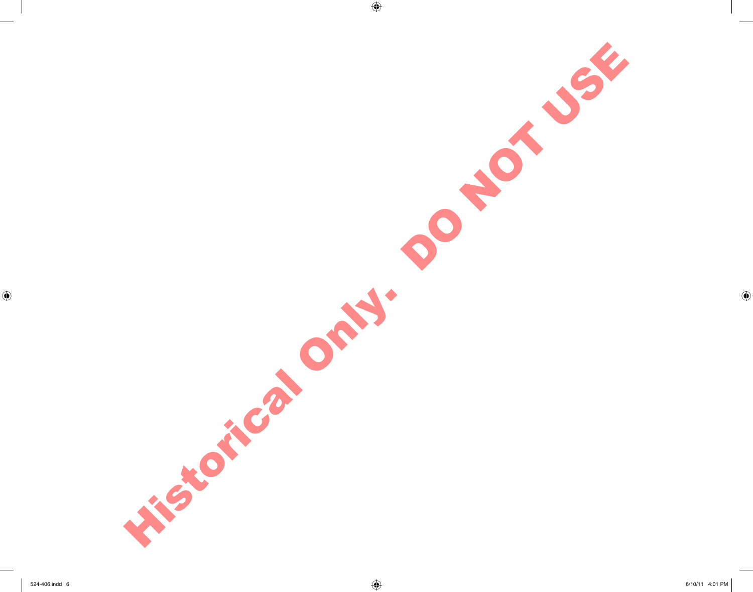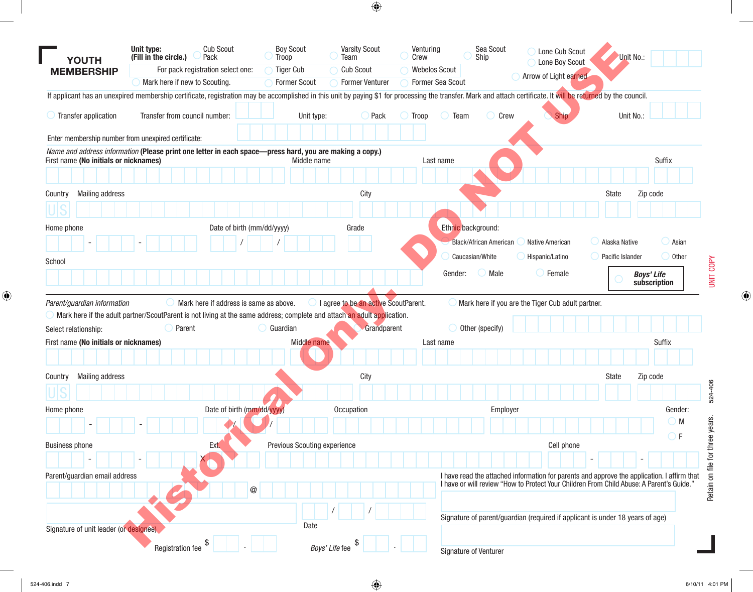$\bigoplus$ 

| YOUTH                                                                                                                                                                                                           | Unit type:<br>(Fill in the circle.) | <b>Cub Scout</b><br>Pack               | <b>Boy Scout</b><br>Troop | <b>Varsity Scout</b><br>Team           | Venturing<br>Crew    | Sea Scout<br>Ship             | Lone Cub Scout<br>Lone Boy Scout                                                                                                                                                     | Unit No.:                |                                   |
|-----------------------------------------------------------------------------------------------------------------------------------------------------------------------------------------------------------------|-------------------------------------|----------------------------------------|---------------------------|----------------------------------------|----------------------|-------------------------------|--------------------------------------------------------------------------------------------------------------------------------------------------------------------------------------|--------------------------|-----------------------------------|
| <b>MEMBERSHIP</b>                                                                                                                                                                                               |                                     | For pack registration select one:      | <b>Tiger Cub</b>          | Cub Scout                              | <b>Webelos Scout</b> |                               | Arrow of Light earned                                                                                                                                                                |                          |                                   |
|                                                                                                                                                                                                                 | Mark here if new to Scouting.       |                                        | <b>Former Scout</b>       | <b>Former Venturer</b>                 | Former Sea Scout     |                               |                                                                                                                                                                                      |                          |                                   |
| If applicant has an unexpired membership certificate, registration may be accomplished in this unit by paying \$1 for processing the transfer. Mark and attach certificate. It will be returned by the council. |                                     |                                        |                           |                                        |                      |                               |                                                                                                                                                                                      |                          |                                   |
| $\bigcirc$ Transfer application                                                                                                                                                                                 | Transfer from council number:       |                                        |                           | Unit type:<br>$\bigcirc$ Pack          | Troop                | Team<br>Crew<br>$\bigcirc$    | <b>Ship</b>                                                                                                                                                                          | Unit No.:                |                                   |
| Enter membership number from unexpired certificate:                                                                                                                                                             |                                     |                                        |                           |                                        |                      |                               |                                                                                                                                                                                      |                          |                                   |
| Name and address information (Please print one letter in each space-press hard, you are making a copy.)<br>First name (No initials or nicknames)                                                                |                                     |                                        |                           | Middle name                            | Last name            |                               |                                                                                                                                                                                      |                          | Suffix                            |
|                                                                                                                                                                                                                 |                                     |                                        |                           |                                        |                      |                               |                                                                                                                                                                                      |                          |                                   |
|                                                                                                                                                                                                                 |                                     |                                        |                           |                                        |                      |                               |                                                                                                                                                                                      |                          |                                   |
| <b>Mailing address</b><br>Country                                                                                                                                                                               |                                     |                                        |                           | City                                   |                      |                               |                                                                                                                                                                                      | State                    | Zip code                          |
|                                                                                                                                                                                                                 |                                     |                                        |                           |                                        |                      |                               |                                                                                                                                                                                      |                          |                                   |
| Home phone                                                                                                                                                                                                      |                                     | Date of birth (mm/dd/yyyy)             |                           | Grade                                  |                      | Ethnic background:            |                                                                                                                                                                                      |                          |                                   |
|                                                                                                                                                                                                                 |                                     |                                        |                           |                                        |                      | <b>Black/African American</b> | Native American                                                                                                                                                                      | $\bigcirc$ Alaska Native | $\bigcirc$ Asian                  |
|                                                                                                                                                                                                                 |                                     |                                        |                           |                                        |                      | Caucasian/White               | Hispanic/Latino                                                                                                                                                                      | Pacific Islander         | $\bigcirc$ Other                  |
|                                                                                                                                                                                                                 |                                     |                                        |                           |                                        |                      |                               |                                                                                                                                                                                      |                          |                                   |
|                                                                                                                                                                                                                 |                                     | Mark here if address is same as above. |                           | O I agree to be an active ScoutParent. |                      | Male<br>Gender:<br>O          | $\bigcirc$ Female<br>Mark here if you are the Tiger Cub adult partner.                                                                                                               |                          | <b>Boys' Life</b><br>subscription |
| School<br>Parent/guardian information<br>O Mark here if the adult partner/ScoutParent is not living at the same address; complete and attach an adult application.<br>Select relationship:                      | Parent                              |                                        | $\bigcirc$ Guardian       |                                        | Grandparent          | Other (specify)               |                                                                                                                                                                                      |                          |                                   |
|                                                                                                                                                                                                                 |                                     |                                        | Middle name               |                                        | Last name            |                               |                                                                                                                                                                                      |                          | Suffix                            |
| First name (No initials or nicknames)                                                                                                                                                                           |                                     |                                        |                           |                                        |                      |                               |                                                                                                                                                                                      |                          |                                   |
| <b>Mailing address</b><br>Country                                                                                                                                                                               |                                     |                                        |                           | City                                   |                      |                               |                                                                                                                                                                                      | State                    | Zip code                          |
|                                                                                                                                                                                                                 |                                     |                                        |                           |                                        |                      |                               |                                                                                                                                                                                      |                          |                                   |
|                                                                                                                                                                                                                 |                                     | Date of birth (mm/dd/vyyy              |                           | Occupation                             |                      | Employer                      |                                                                                                                                                                                      |                          | Gender:                           |
|                                                                                                                                                                                                                 |                                     |                                        |                           |                                        |                      |                               |                                                                                                                                                                                      |                          | $\bigcirc$ M                      |
|                                                                                                                                                                                                                 |                                     |                                        |                           |                                        |                      |                               |                                                                                                                                                                                      |                          | IF.                               |
|                                                                                                                                                                                                                 |                                     | Ext.                                   |                           | Previous Scouting experience           |                      |                               | Cell phone                                                                                                                                                                           |                          |                                   |
|                                                                                                                                                                                                                 |                                     |                                        |                           |                                        |                      |                               |                                                                                                                                                                                      |                          |                                   |
|                                                                                                                                                                                                                 |                                     | @                                      |                           |                                        |                      |                               | I have read the attached information for parents and approve the application. I affirm that I have or will review "How to Protect Your Children From Child Abuse: A Parent's Guide." |                          |                                   |
| Home phone<br><b>Business phone</b><br>Parent/guardian email address<br>Signature of unit leader (or designee)                                                                                                  |                                     |                                        |                           | Date                                   |                      |                               | Signature of parent/guardian (required if applicant is under 18 years of age)                                                                                                        |                          |                                   |

 $\bigoplus$ 

 $\bigoplus$